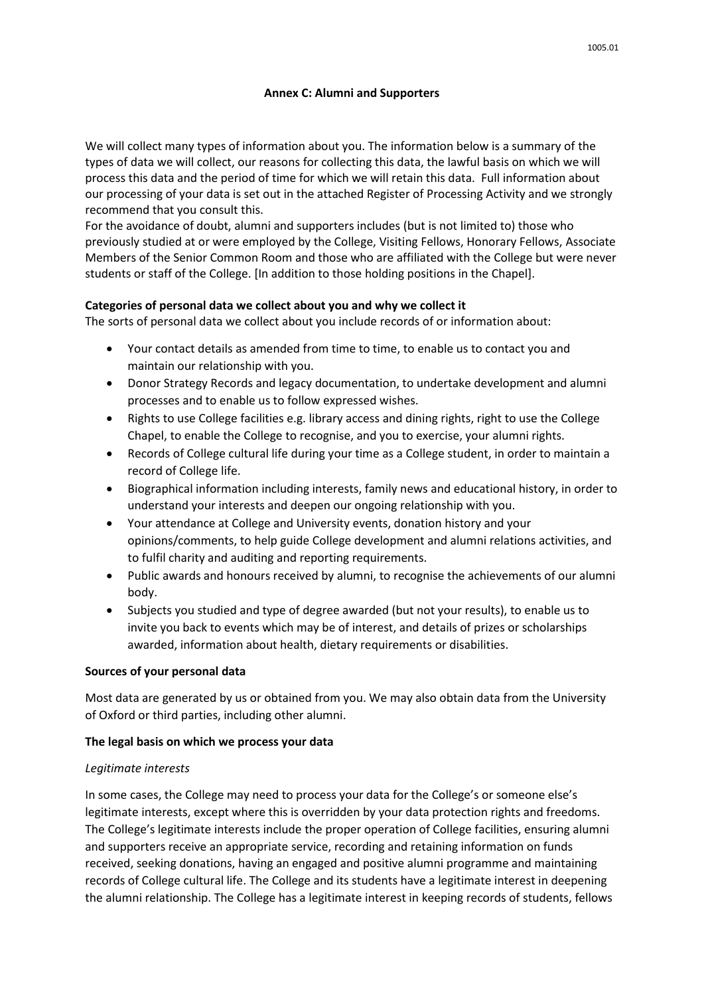## **Annex C: Alumni and Supporters**

We will collect many types of information about you. The information below is a summary of the types of data we will collect, our reasons for collecting this data, the lawful basis on which we will process this data and the period of time for which we will retain this data. Full information about our processing of your data is set out in the attached Register of Processing Activity and we strongly recommend that you consult this.

For the avoidance of doubt, alumni and supporters includes (but is not limited to) those who previously studied at or were employed by the College, Visiting Fellows, Honorary Fellows, Associate Members of the Senior Common Room and those who are affiliated with the College but were never students or staff of the College. [In addition to those holding positions in the Chapel].

# **Categories of personal data we collect about you and why we collect it**

The sorts of personal data we collect about you include records of or information about:

- Your contact details as amended from time to time, to enable us to contact you and maintain our relationship with you.
- Donor Strategy Records and legacy documentation, to undertake development and alumni processes and to enable us to follow expressed wishes.
- Rights to use College facilities e.g. library access and dining rights, right to use the College Chapel, to enable the College to recognise, and you to exercise, your alumni rights.
- Records of College cultural life during your time as a College student, in order to maintain a record of College life.
- Biographical information including interests, family news and educational history, in order to understand your interests and deepen our ongoing relationship with you.
- Your attendance at College and University events, donation history and your opinions/comments, to help guide College development and alumni relations activities, and to fulfil charity and auditing and reporting requirements.
- Public awards and honours received by alumni, to recognise the achievements of our alumni body.
- Subjects you studied and type of degree awarded (but not your results), to enable us to invite you back to events which may be of interest, and details of prizes or scholarships awarded, information about health, dietary requirements or disabilities.

### **Sources of your personal data**

Most data are generated by us or obtained from you. We may also obtain data from the University of Oxford or third parties, including other alumni.

# **The legal basis on which we process your data**

### *Legitimate interests*

In some cases, the College may need to process your data for the College's or someone else's legitimate interests, except where this is overridden by your data protection rights and freedoms. The College's legitimate interests include the proper operation of College facilities, ensuring alumni and supporters receive an appropriate service, recording and retaining information on funds received, seeking donations, having an engaged and positive alumni programme and maintaining records of College cultural life. The College and its students have a legitimate interest in deepening the alumni relationship. The College has a legitimate interest in keeping records of students, fellows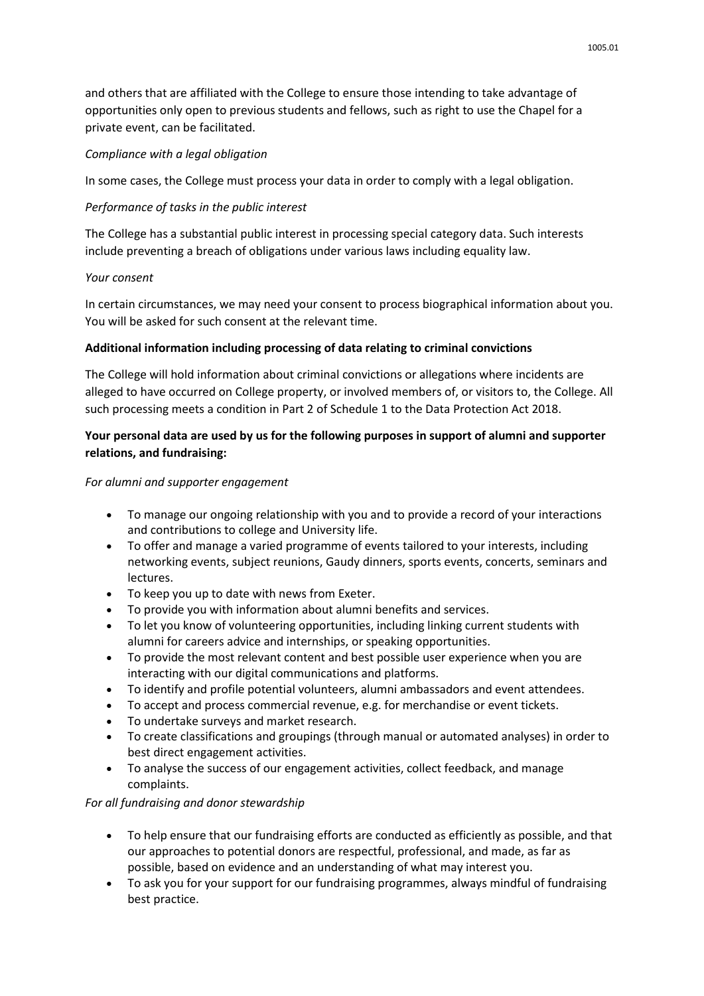and others that are affiliated with the College to ensure those intending to take advantage of opportunities only open to previous students and fellows, such as right to use the Chapel for a private event, can be facilitated.

# *Compliance with a legal obligation*

In some cases, the College must process your data in order to comply with a legal obligation.

## *Performance of tasks in the public interest*

The College has a substantial public interest in processing special category data. Such interests include preventing a breach of obligations under various laws including equality law.

## *Your consent*

In certain circumstances, we may need your consent to process biographical information about you. You will be asked for such consent at the relevant time.

## **Additional information including processing of data relating to criminal convictions**

The College will hold information about criminal convictions or allegations where incidents are alleged to have occurred on College property, or involved members of, or visitors to, the College. All such processing meets a condition in Part 2 of Schedule 1 to the Data Protection Act 2018.

# **Your personal data are used by us for the following purposes in support of alumni and supporter relations, and fundraising:**

### *For alumni and supporter engagement*

- To manage our ongoing relationship with you and to provide a record of your interactions and contributions to college and University life.
- To offer and manage a varied programme of events tailored to your interests, including networking events, subject reunions, Gaudy dinners, sports events, concerts, seminars and lectures.
- To keep you up to date with news from Exeter.
- To provide you with information about alumni benefits and services.
- To let you know of volunteering opportunities, including linking current students with alumni for careers advice and internships, or speaking opportunities.
- To provide the most relevant content and best possible user experience when you are interacting with our digital communications and platforms.
- To identify and profile potential volunteers, alumni ambassadors and event attendees.
- To accept and process commercial revenue, e.g. for merchandise or event tickets.
- To undertake surveys and market research.
- To create classifications and groupings (through manual or automated analyses) in order to best direct engagement activities.
- To analyse the success of our engagement activities, collect feedback, and manage complaints.

### *For all fundraising and donor stewardship*

- To help ensure that our fundraising efforts are conducted as efficiently as possible, and that our approaches to potential donors are respectful, professional, and made, as far as possible, based on evidence and an understanding of what may interest you.
- To ask you for your support for our fundraising programmes, always mindful of fundraising best practice.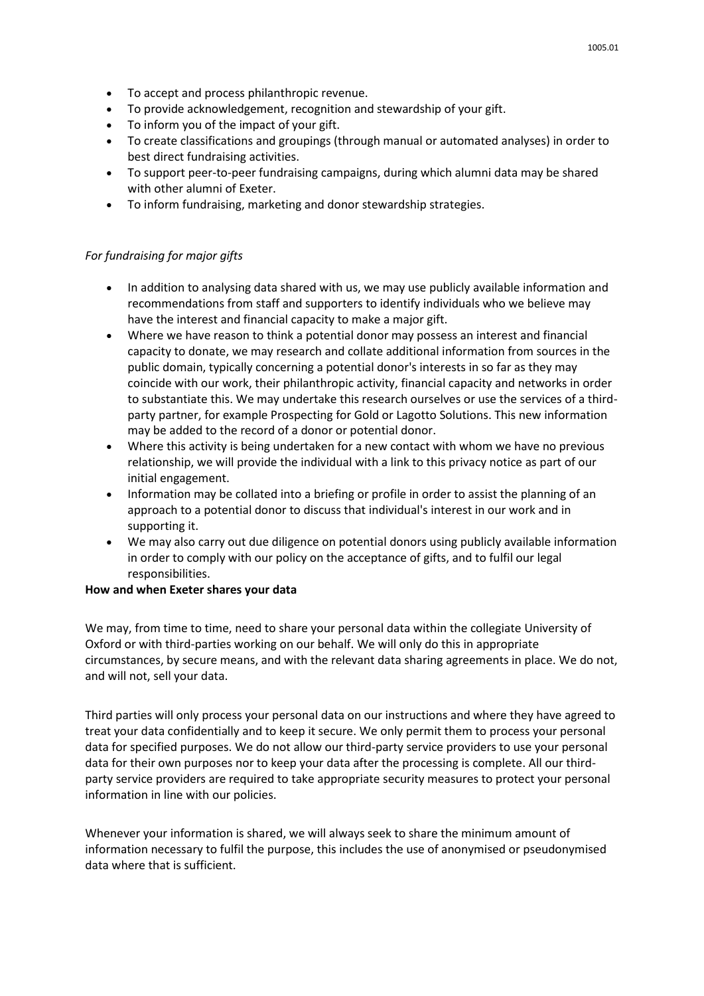- To accept and process philanthropic revenue.
- To provide acknowledgement, recognition and stewardship of your gift.
- To inform you of the impact of your gift.
- To create classifications and groupings (through manual or automated analyses) in order to best direct fundraising activities.
- To support peer-to-peer fundraising campaigns, during which alumni data may be shared with other alumni of Exeter.
- To inform fundraising, marketing and donor stewardship strategies.

#### *For fundraising for major gifts*

- In addition to analysing data shared with us, we may use publicly available information and recommendations from staff and supporters to identify individuals who we believe may have the interest and financial capacity to make a major gift.
- Where we have reason to think a potential donor may possess an interest and financial capacity to donate, we may research and collate additional information from sources in the public domain, typically concerning a potential donor's interests in so far as they may coincide with our work, their philanthropic activity, financial capacity and networks in order to substantiate this. We may undertake this research ourselves or use the services of a thirdparty partner, for example Prospecting for Gold or Lagotto Solutions. This new information may be added to the record of a donor or potential donor.
- Where this activity is being undertaken for a new contact with whom we have no previous relationship, we will provide the individual with a link to this privacy notice as part of our initial engagement.
- Information may be collated into a briefing or profile in order to assist the planning of an approach to a potential donor to discuss that individual's interest in our work and in supporting it.
- We may also carry out due diligence on potential donors using publicly available information in order to comply with our policy on the acceptance of gifts, and to fulfil our legal responsibilities.

#### **How and when Exeter shares your data**

We may, from time to time, need to share your personal data within the collegiate University of Oxford or with third-parties working on our behalf. We will only do this in appropriate circumstances, by secure means, and with the relevant data sharing agreements in place. We do not, and will not, sell your data.

Third parties will only process your personal data on our instructions and where they have agreed to treat your data confidentially and to keep it secure. We only permit them to process your personal data for specified purposes. We do not allow our third-party service providers to use your personal data for their own purposes nor to keep your data after the processing is complete. All our thirdparty service providers are required to take appropriate security measures to protect your personal information in line with our policies.

Whenever your information is shared, we will always seek to share the minimum amount of information necessary to fulfil the purpose, this includes the use of anonymised or pseudonymised data where that is sufficient.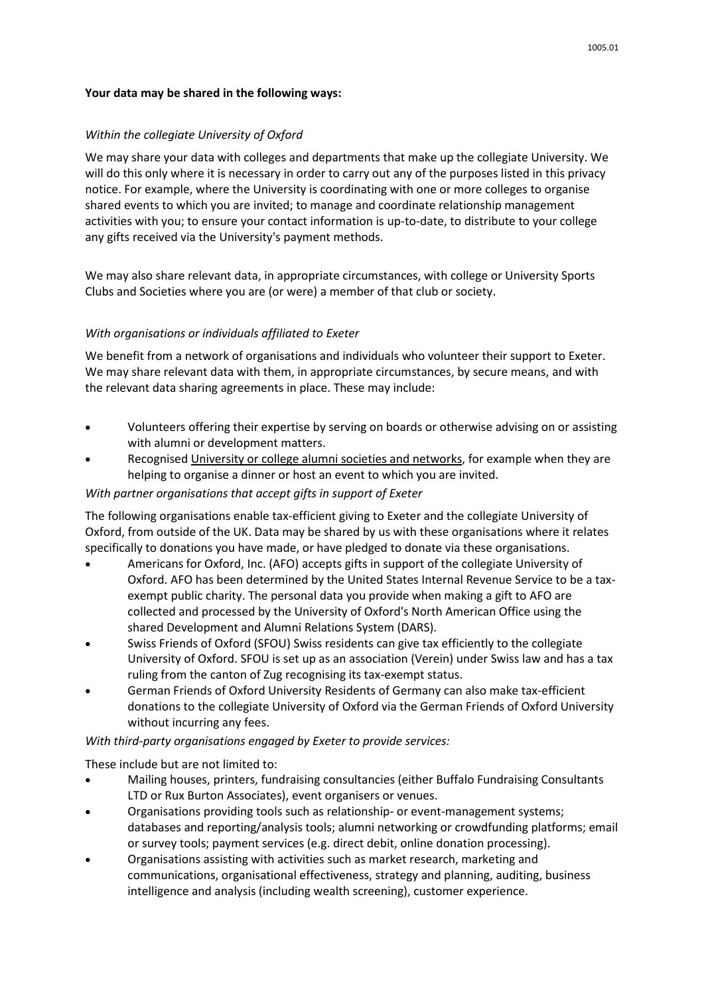## **Your data may be shared in the following ways:**

## *Within the collegiate University of Oxford*

We may share your data with colleges and departments that make up the collegiate University. We will do this only where it is necessary in order to carry out any of the purposes listed in this privacy notice. For example, where the University is coordinating with one or more colleges to organise shared events to which you are invited; to manage and coordinate relationship management activities with you; to ensure your contact information is up-to-date, to distribute to your college any gifts received via the University's payment methods.

We may also share relevant data, in appropriate circumstances, with college or University Sports Clubs and Societies where you are (or were) a member of that club or society.

## *With organisations or individuals affiliated to Exeter*

We benefit from a network of organisations and individuals who volunteer their support to Exeter. We may share relevant data with them, in appropriate circumstances, by secure means, and with the relevant data sharing agreements in place. These may include:

- Volunteers offering their expertise by serving on boards or otherwise advising on or assisting with alumni or development matters.
- Recognise[d University or college alumni societies and networks,](https://www.alumni.ox.ac.uk/alumni-groups) for example when they are helping to organise a dinner or host an event to which you are invited.

## *With partner organisations that accept gifts in support of Exeter*

The following organisations enable tax-efficient giving to Exeter and the collegiate University of Oxford, from outside of the UK. Data may be shared by us with these organisations where it relates specifically to donations you have made, or have pledged to donate via these organisations.

- Americans for Oxford, Inc. (AFO) accepts gifts in support of the collegiate University of Oxford. AFO has been determined by the United States Internal Revenue Service to be a taxexempt public charity. The personal data you provide when making a gift to AFO are collected and processed by the University of Oxford's North American Office using the shared Development and Alumni Relations System (DARS).
- Swiss Friends of Oxford (SFOU) Swiss residents can give tax efficiently to the collegiate University of Oxford. SFOU is set up as an association (Verein) under Swiss law and has a tax ruling from the canton of Zug recognising its tax-exempt status.
- German Friends of Oxford University Residents of Germany can also make tax-efficient donations to the collegiate University of Oxford via the German Friends of Oxford University without incurring any fees.

### *With third-party organisations engaged by Exeter to provide services:*

These include but are not limited to:

- Mailing houses, printers, fundraising consultancies (either Buffalo Fundraising Consultants LTD or Rux Burton Associates), event organisers or venues.
- Organisations providing tools such as relationship- or event-management systems; databases and reporting/analysis tools; alumni networking or crowdfunding platforms; email or survey tools; payment services (e.g. direct debit, online donation processing).
- Organisations assisting with activities such as market research, marketing and communications, organisational effectiveness, strategy and planning, auditing, business intelligence and analysis (including wealth screening), customer experience.